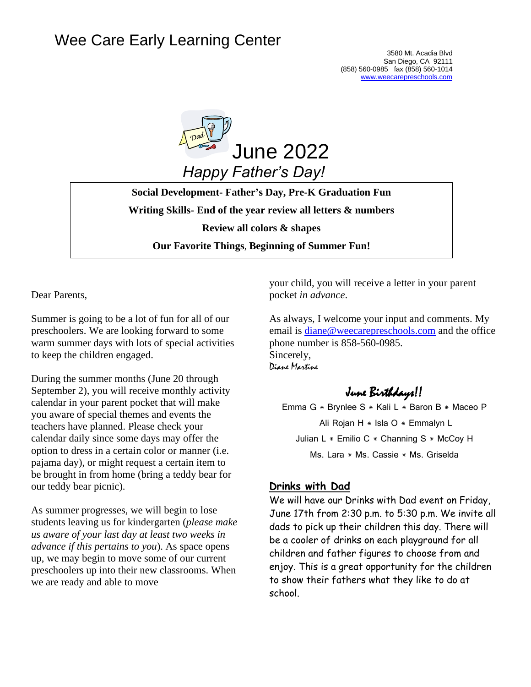# Wee Care Early Learning Center



**Social Development- Father's Day, Pre-K Graduation Fun Writing Skills- End of the year review all letters & numbers Review all colors & shapes Our Favorite Things**, **Beginning of Summer Fun!**

Dear Parents,

Summer is going to be a lot of fun for all of our preschoolers. We are looking forward to some warm summer days with lots of special activities to keep the children engaged.

During the summer months (June 20 through September 2), you will receive monthly activity calendar in your parent pocket that will make you aware of special themes and events the teachers have planned. Please check your calendar daily since some days may offer the option to dress in a certain color or manner (i.e. pajama day), or might request a certain item to be brought in from home (bring a teddy bear for our teddy bear picnic).

As summer progresses, we will begin to lose students leaving us for kindergarten (*please make us aware of your last day at least two weeks in advance if this pertains to you*). As space opens up, we may begin to move some of our current preschoolers up into their new classrooms. When we are ready and able to move

your child, you will receive a letter in your parent pocket *in advance*.

As always, I welcome your input and comments. My email is [diane@weecarepreschools.com](mailto:diane@weecarepreschools.com) and the office phone number is 858-560-0985. Sincerely, Diane Martine

June Birthdays!!

Emma G \* Brynlee S \* Kali L \* Baron B \* Maceo P Ali Rojan H \* Isla O \* Emmalyn L Julian L  $*$  Emilio C  $*$  Channing S  $*$  McCoy H Ms. Lara \* Ms. Cassie \* Ms. Griselda

## **Drinks with Dad**

We will have our Drinks with Dad event on Friday, June 17th from 2:30 p.m. to 5:30 p.m. We invite all dads to pick up their children this day. There will be a cooler of drinks on each playground for all children and father figures to choose from and enjoy. This is a great opportunity for the children to show their fathers what they like to do at school.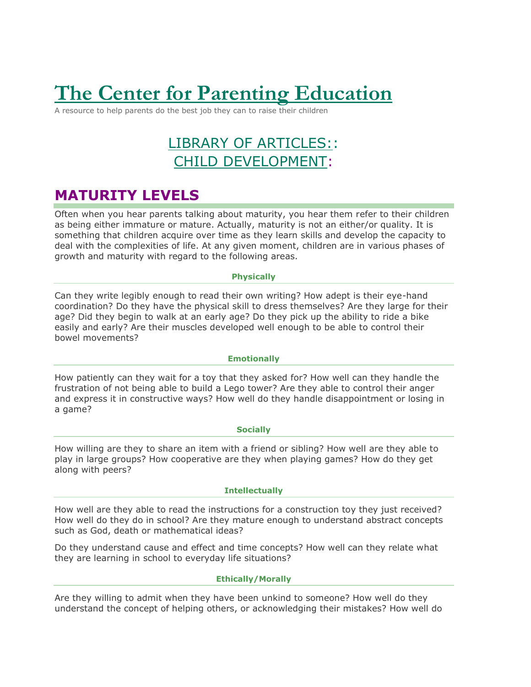# **The Center for Parenting [Education](http://centerforparentingeducation.org/)**

A resource to help parents do the best job they can to raise their children

# LIBRARY OF [ARTICLES::](http://centerforparentingeducation.org/library-of-articles/) CHILD [DEVELOPMENT:](http://centerforparentingeducation.org/library-of-articles/child-development/)

## **MATURITY LEVELS**

Often when you hear parents talking about maturity, you hear them refer to their children as being either immature or mature. Actually, maturity is not an either/or quality. It is something that children acquire over time as they learn skills and develop the capacity to deal with the complexities of life. At any given moment, children are in various phases of growth and maturity with regard to the following areas.

#### **Physically**

Can they write legibly enough to read their own writing? How adept is their eye-hand coordination? Do they have the physical skill to dress themselves? Are they large for their age? Did they begin to walk at an early age? Do they pick up the ability to ride a bike easily and early? Are their muscles developed well enough to be able to control their bowel movements?

#### **Emotionally**

How patiently can they wait for a toy that they asked for? How well can they handle the frustration of not being able to build a Lego tower? Are they able to control their anger and express it in constructive ways? How well do they handle disappointment or losing in a game?

#### **Socially**

How willing are they to share an item with a friend or sibling? How well are they able to play in large groups? How cooperative are they when playing games? How do they get along with peers?

#### **Intellectually**

How well are they able to read the instructions for a construction toy they just received? How well do they do in school? Are they mature enough to understand abstract concepts such as God, death or mathematical ideas?

Do they understand cause and effect and time concepts? How well can they relate what they are learning in school to everyday life situations?

#### **Ethically/Morally**

Are they willing to admit when they have been unkind to someone? How well do they understand the concept of helping others, or acknowledging their mistakes? How well do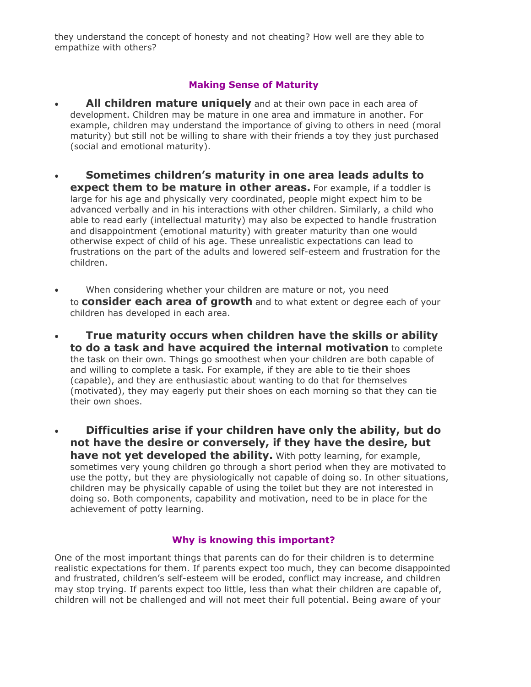they understand the concept of honesty and not cheating? How well are they able to empathize with others?

## **Making Sense of Maturity**

- **All children mature uniquely** and at their own pace in each area of development. Children may be mature in one area and immature in another. For example, children may understand the importance of giving to others in need (moral maturity) but still not be willing to share with their friends a toy they just purchased (social and emotional maturity).
- **Sometimes children's maturity in one area leads adults to expect them to be mature in other areas.** For example, if a toddler is large for his age and physically very coordinated, people might expect him to be advanced verbally and in his interactions with other children. Similarly, a child who able to read early (intellectual maturity) may also be expected to handle frustration and disappointment (emotional maturity) with greater maturity than one would otherwise expect of child of his age. These unrealistic expectations can lead to frustrations on the part of the adults and lowered self-esteem and frustration for the children.
- When considering whether your children are mature or not, you need to **consider each area of growth** and to what extent or degree each of your children has developed in each area.
- **True maturity occurs when children have the skills or ability to do a task and have acquired the internal motivation** to complete the task on their own. Things go smoothest when your children are both capable of and willing to complete a task. For example, if they are able to tie their shoes (capable), and they are enthusiastic about wanting to do that for themselves (motivated), they may eagerly put their shoes on each morning so that they can tie their own shoes.
- **Difficulties arise if your children have only the ability, but do not have the desire or conversely, if they have the desire, but have not yet developed the ability.** With potty learning, for example, sometimes very young children go through a short period when they are motivated to use the potty, but they are physiologically not capable of doing so. In other situations, children may be physically capable of using the toilet but they are not interested in doing so. Both components, capability and motivation, need to be in place for the achievement of potty learning.

### **Why is knowing this important?**

One of the most important things that parents can do for their children is to determine realistic expectations for them. If parents expect too much, they can become disappointed and frustrated, children's self-esteem will be eroded, conflict may increase, and children may stop trying. If parents expect too little, less than what their children are capable of, children will not be challenged and will not meet their full potential. Being aware of your